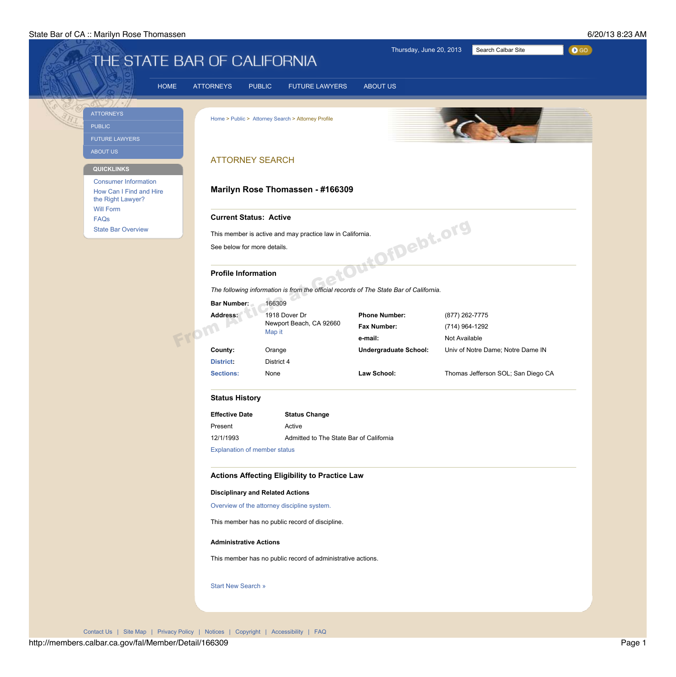## State Bar of CA :: Marilyn Rose Thomassen 6/20/13 8:23 AM

| Thursday, June 20, 2013<br>Search Calbar Site<br>$\bullet$ GO<br>THE STATE BAR OF CALIFORNIA |                                                                             |             |                                                              |                                                                                                                  |                                                       |                                                   |                                    |  |  |
|----------------------------------------------------------------------------------------------|-----------------------------------------------------------------------------|-------------|--------------------------------------------------------------|------------------------------------------------------------------------------------------------------------------|-------------------------------------------------------|---------------------------------------------------|------------------------------------|--|--|
|                                                                                              |                                                                             | <b>HOME</b> | <b>ATTORNEYS</b><br><b>PUBLIC</b>                            | <b>FUTURE LAWYERS</b>                                                                                            | <b>ABOUT US</b>                                       |                                                   |                                    |  |  |
|                                                                                              | <b>ATTORNEYS</b><br><b>PUBLIC</b><br><b>FUTURE LAWYERS</b>                  |             |                                                              | Home > Public > Attorney Search > Attorney Profile                                                               |                                                       |                                                   |                                    |  |  |
|                                                                                              | <b>ABOUT US</b><br><b>QUICKLINKS</b>                                        |             | <b>ATTORNEY SEARCH</b>                                       |                                                                                                                  |                                                       |                                                   |                                    |  |  |
|                                                                                              | <b>Consumer Information</b><br>How Can I Find and Hire<br>the Right Lawyer? |             | Marilyn Rose Thomassen - #166309                             |                                                                                                                  |                                                       |                                                   |                                    |  |  |
|                                                                                              | <b>Will Form</b><br><b>FAQs</b><br><b>State Bar Overview</b>                |             | <b>Current Status: Active</b><br>See below for more details. | This member is active and may practice law in California.                                                        | OfDebt.org                                            |                                                   |                                    |  |  |
|                                                                                              |                                                                             |             | <b>Profile Information</b>                                   | The following information is from the official records of The State Bar of California.                           |                                                       |                                                   |                                    |  |  |
|                                                                                              |                                                                             |             | <b>Bar Number:</b><br><b>Address:</b>                        | 166309<br>1918 Dover Dr<br>Newport Beach, CA 92660<br>Map it                                                     | <b>Phone Number:</b><br><b>Fax Number:</b><br>e-mail: | (877) 262-7775<br>(714) 964-1292<br>Not Available |                                    |  |  |
|                                                                                              |                                                                             |             | <b>County:</b><br><b>District:</b>                           | Orange<br>District 4                                                                                             | <b>Undergraduate School:</b>                          |                                                   | Univ of Notre Dame; Notre Dame IN  |  |  |
|                                                                                              |                                                                             |             | <b>Sections:</b><br><b>Status History</b>                    | None                                                                                                             | Law School:                                           |                                                   | Thomas Jefferson SOL; San Diego CA |  |  |
|                                                                                              |                                                                             |             | <b>Effective Date</b>                                        | <b>Status Change</b>                                                                                             |                                                       |                                                   |                                    |  |  |
|                                                                                              |                                                                             |             |                                                              | Active<br>Present<br>Admitted to The State Bar of California<br>12/1/1993<br><b>Explanation of member status</b> |                                                       |                                                   |                                    |  |  |
|                                                                                              |                                                                             |             | <b>Disciplinary and Related Actions</b>                      | <b>Actions Affecting Eligibility to Practice Law</b>                                                             |                                                       |                                                   |                                    |  |  |

Overview of the attorney discipline system.

This member has no public record of discipline.

**Administrative Actions**

This member has no public record of administrative actions.

Start New Search »

Contact Us | Site Map | Privacy Policy | Notices | Copyright | Accessibility | FAQ

http://members.calbar.ca.gov/fal/Member/Detail/166309 Page 1